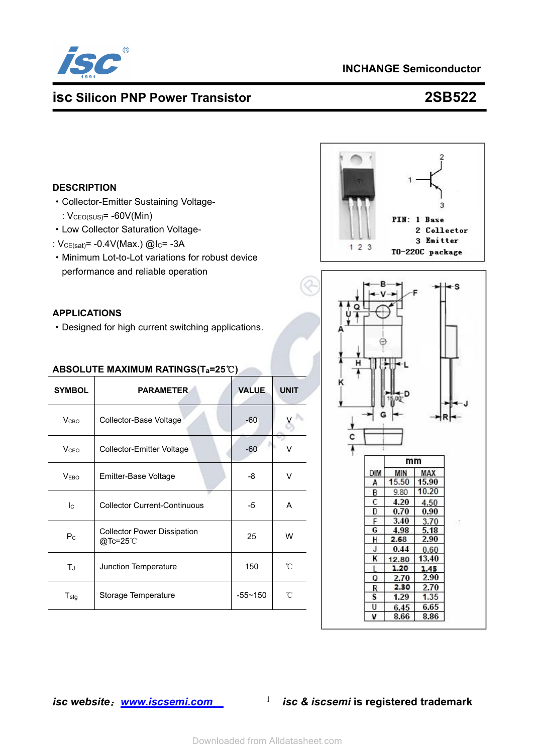

# **INCHANGE Semiconductor**

# **isc Silicon PNP Power Transistor 2SB522**

#### **DESCRIPTION**

- ·Collector-Emitter Sustaining Voltage- :  $V_{\text{CEO(SUS)}} = -60V(\text{Min})$
- ·Low Collector Saturation Voltage-
- :  $V_{CE(sat)} = -0.4V(Max.)$  @I<sub>C</sub>= -3A
- ·Minimum Lot-to-Lot variations for robust device performance and reliable operation

### **APPLICATIONS**

·Designed for high current switching applications.

### **ABSOLUTE MAXIMUM RATINGS(Ta=25**℃**)**

| <b>SYMBOL</b>           | <b>PARAMETER</b>                                             | <b>VALUE</b> | <b>UNIT</b> | κ |                  |                       |                               |
|-------------------------|--------------------------------------------------------------|--------------|-------------|---|------------------|-----------------------|-------------------------------|
| V <sub>CBO</sub>        | Collector-Base Voltage                                       | $-60$        |             |   |                  |                       |                               |
| <b>V</b> <sub>CEO</sub> | Collector-Emitter Voltage                                    | $-60$        | $\vee$      | с |                  | mm                    |                               |
| V <sub>EBO</sub>        | Emitter-Base Voltage                                         | -8           | $\vee$      |   | DIM<br>A         | MIN<br>15.50          | MAX<br>15.90                  |
| $I_{\rm C}$             | <b>Collector Current-Continuous</b>                          | -5           | A           |   | B<br>C<br>Đ      | 9.80<br>4.20<br>0.70  | 10.20<br>4.50<br>0.90         |
| $P_{C}$                 | <b>Collector Power Dissipation</b><br>$@$ Tc=25 $^{\circ}$ C | 25           | W           |   | F<br>G<br>н<br>J | 3.40<br>4.98<br>2.68  | 3.70<br>5.18<br>2.90          |
| TJ                      | Junction Temperature                                         | 150          | °C          |   | κ<br>Q           | 0.44<br>12.80<br>1.20 | 0.60<br>13.40<br>1.45<br>2.90 |
| $T_{\text{stg}}$        | Storage Temperature                                          | $-55 - 150$  | °C          |   | R<br>s           | 2.70<br>2.30<br>1.29  | 2.70<br>1.35                  |
|                         |                                                              |              |             |   | U<br>            | 6.45<br>0.00          | 6.65<br>o oo                  |